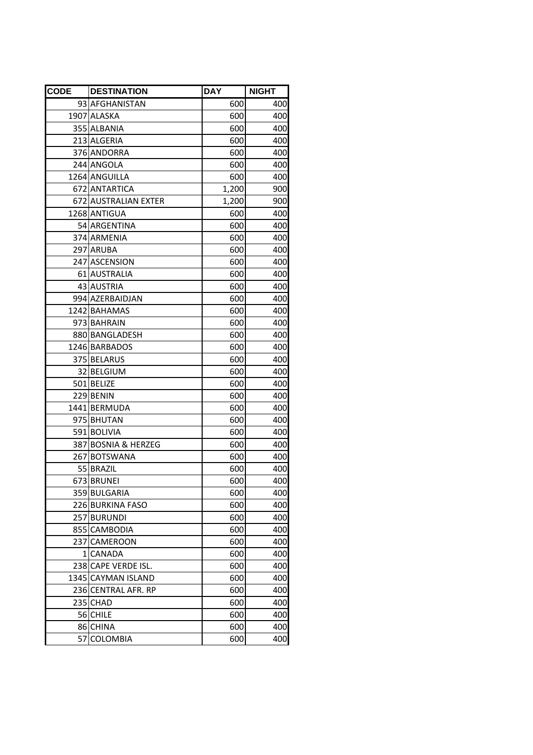| <b>CODE</b> | <b>DESTINATION</b>   | <b>DAY</b> | <b>NIGHT</b> |
|-------------|----------------------|------------|--------------|
|             | 93 AFGHANISTAN       | 600        | 400          |
|             | 1907 ALASKA          | 600        | 400          |
|             | 355 ALBANIA          | 600        | 400          |
|             | 213 ALGERIA          | 600        | 400          |
|             | 376 ANDORRA          | 600        | 400          |
|             | 244 ANGOLA           | 600        | 400          |
|             | 1264 ANGUILLA        | 600        | 400          |
|             | 672 ANTARTICA        | 1,200      | 900          |
|             | 672 AUSTRALIAN EXTER | 1,200      | 900          |
|             | 1268 ANTIGUA         | 600        | 400          |
|             | 54 ARGENTINA         | 600        | 400          |
|             | 374 ARMENIA          | 600        | 400          |
|             | 297 ARUBA            | 600        | 400          |
|             | 247 ASCENSION        | 600        | 400          |
|             | 61 AUSTRALIA         | 600        | 400          |
|             | 43 AUSTRIA           | 600        | 400          |
|             | 994 AZERBAIDJAN      | 600        | 400          |
|             | 1242 BAHAMAS         | 600        | 400          |
|             | 973 BAHRAIN          | 600        | 400          |
|             | 880 BANGLADESH       | 600        | 400          |
|             | 1246 BARBADOS        | 600        | 400          |
|             | 375 BELARUS          | 600        | 400          |
|             | 32 BELGIUM           | 600        | 400          |
|             | 501 BELIZE           | 600        | 400          |
|             | 229 BENIN            | 600        | 400          |
|             | 1441 BERMUDA         | 600        | 400          |
|             | 975 BHUTAN           | 600        | 400          |
|             | 591 BOLIVIA          | 600        | 400          |
|             | 387 BOSNIA & HERZEG  | 600        | 400          |
|             | 267 BOTSWANA         | 600        | 400          |
|             | 55 BRAZIL            | 600        | 400          |
|             | 673 BRUNEI           | 600        | 400          |
|             | 359 BULGARIA         | 600        | 400          |
|             | 226 BURKINA FASO     | 600        | 400          |
|             | 257 BURUNDI          | 600        | 400          |
|             | 855 CAMBODIA         | 600        | 400          |
|             | 237 CAMEROON         | 600        | 400          |
|             | 1 CANADA             | 600        | 400          |
|             | 238 CAPE VERDE ISL.  | 600        | 400          |
|             | 1345 CAYMAN ISLAND   | 600        | 400          |
|             | 236 CENTRAL AFR. RP  | 600        | 400          |
|             | 235 CHAD             | 600        | 400          |
|             | 56 CHILE             | 600        | 400          |
|             | 86 CHINA             | 600        | 400          |
| 57          | <b>COLOMBIA</b>      | 600        | 400          |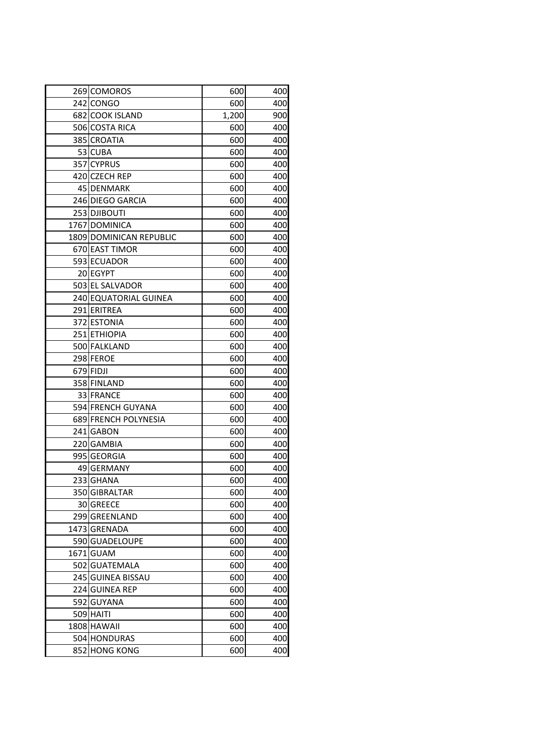| 269 COMOROS             | 600   | 400 |
|-------------------------|-------|-----|
| 242 CONGO               | 600   | 400 |
| 682 COOK ISLAND         | 1,200 | 900 |
| 506 COSTA RICA          | 600   | 400 |
| 385 CROATIA             | 600   | 400 |
| 53 CUBA                 | 600   | 400 |
| 357 CYPRUS              | 600   | 400 |
| 420 CZECH REP           | 600   | 400 |
| 45 DENMARK              | 600   | 400 |
| 246 DIEGO GARCIA        | 600   | 400 |
| 253 DJIBOUTI            | 600   | 400 |
| 1767 DOMINICA           | 600   | 400 |
| 1809 DOMINICAN REPUBLIC | 600   | 400 |
| 670 EAST TIMOR          | 600   | 400 |
| 593 ECUADOR             | 600   | 400 |
| 20 EGYPT                | 600   | 400 |
| 503 EL SALVADOR         | 600   | 400 |
| 240 EQUATORIAL GUINEA   | 600   | 400 |
| 291 ERITREA             | 600   | 400 |
| 372 ESTONIA             | 600   | 400 |
| 251 ETHIOPIA            | 600   | 400 |
| 500 FALKLAND            | 600   | 400 |
| 298 FEROE               | 600   | 400 |
| 679 FIDJI               | 600   | 400 |
| 358 FINLAND             | 600   | 400 |
| 33 FRANCE               | 600   | 400 |
| 594 FRENCH GUYANA       | 600   | 400 |
| 689 FRENCH POLYNESIA    | 600   | 400 |
| 241 GABON               | 600   | 400 |
| 220 GAMBIA              | 600   | 400 |
| 995 GEORGIA             | 600   | 400 |
| 49 GERMANY              | 600   | 400 |
| 233 GHANA               | 600   | 400 |
| 350 GIBRALTAR           | 600   | 400 |
| 30 GREECE               | 600   | 400 |
| 299 GREENLAND           | 600   | 400 |
| 1473 GRENADA            | 600   | 400 |
| 590 GUADELOUPE          | 600   | 400 |
| 1671 GUAM               | 600   | 400 |
| 502 GUATEMALA           | 600   | 400 |
| 245 GUINEA BISSAU       | 600   | 400 |
| 224 GUINEA REP          | 600   | 400 |
| 592 GUYANA              | 600   | 400 |
| 509 HAITI               | 600   | 400 |
| 1808 HAWAII             | 600   | 400 |
| 504 HONDURAS            | 600   | 400 |
| 852 HONG KONG           | 600   | 400 |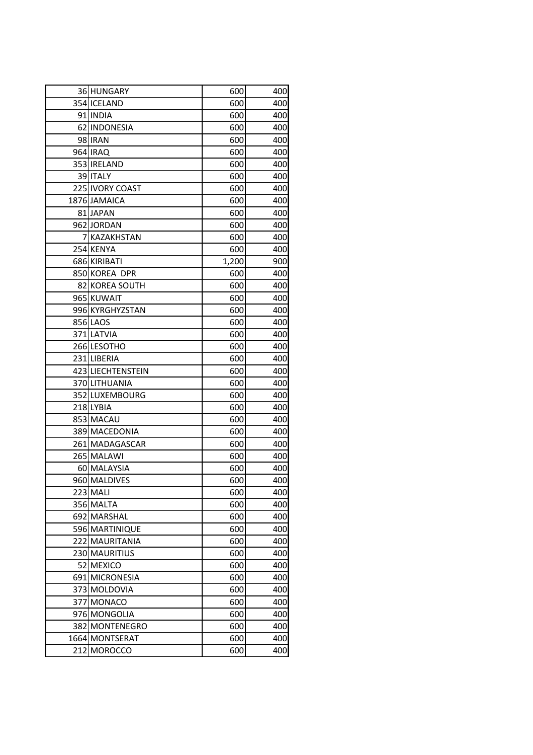|     | 36 HUNGARY                 | 600        | 400        |
|-----|----------------------------|------------|------------|
|     | 354 ICELAND                | 600        | 400        |
|     | 91 INDIA                   | 600        | 400        |
|     | 62 INDONESIA               | 600        | 400        |
|     | 98 IRAN                    | 600        | 400        |
|     | 964 IRAQ                   | 600        | 400        |
|     | 353 IRELAND                | 600        | 400        |
|     | 39 ITALY                   | 600        | 400        |
|     | 225 IVORY COAST            | 600        | 400        |
|     | 1876 JAMAICA               | 600        | 400        |
|     | 81 JAPAN                   | 600        | 400        |
|     | 962 JORDAN                 | 600        | 400        |
|     | 7 KAZAKHSTAN               | 600        | 400        |
|     | 254 KENYA                  | 600        | 400        |
|     | 686 KIRIBATI               | 1,200      | 900        |
|     | 850 KOREA DPR              | 600        | 400        |
|     | 82 KOREA SOUTH             | 600        | 400        |
|     | 965 KUWAIT                 | 600        | 400        |
|     | 996 KYRGHYZSTAN            | 600        | 400        |
|     | 856 LAOS                   | 600        | 400        |
|     | 371 LATVIA                 | 600        | 400        |
|     | 266 LESOTHO                | 600        | 400        |
|     | 231 LIBERIA                | 600        | 400        |
|     | 423 LIECHTENSTEIN          | 600        | 400        |
|     | 370 LITHUANIA              | 600        | 400        |
|     | 352 LUXEMBOURG             | 600        | 400        |
|     | 218 LYBIA                  | 600        | 400        |
|     | 853 MACAU                  | 600        | 400        |
|     | 389 MACEDONIA              | 600        | 400        |
|     | 261 MADAGASCAR             | 600        | 400        |
|     | 265 MALAWI                 | 600        | 400        |
|     | 60 MALAYSIA                | 600        | 400        |
|     | 960 MALDIVES               | 600        | 400        |
|     | 223 MALI                   | 600        | 400        |
|     | 356 MALTA                  | 600        | 400        |
|     | 692 MARSHAL                | 600        | 400        |
|     | 596 MARTINIQUE             | 600        | 400        |
|     | 222 MAURITANIA             | 600        | 400        |
|     | 230 MAURITIUS<br>52 MEXICO | 600<br>600 | 400<br>400 |
|     | 691 MICRONESIA             | 600        | 400        |
|     | 373 MOLDOVIA               | 600        | 400        |
|     | 377 MONACO                 | 600        | 400        |
|     | 976 MONGOLIA               | 600        | 400        |
|     | 382 MONTENEGRO             | 600        | 400        |
|     | 1664 MONTSERAT             | 600        | 400        |
| 212 | <b>MOROCCO</b>             | 600        | 400        |
|     |                            |            |            |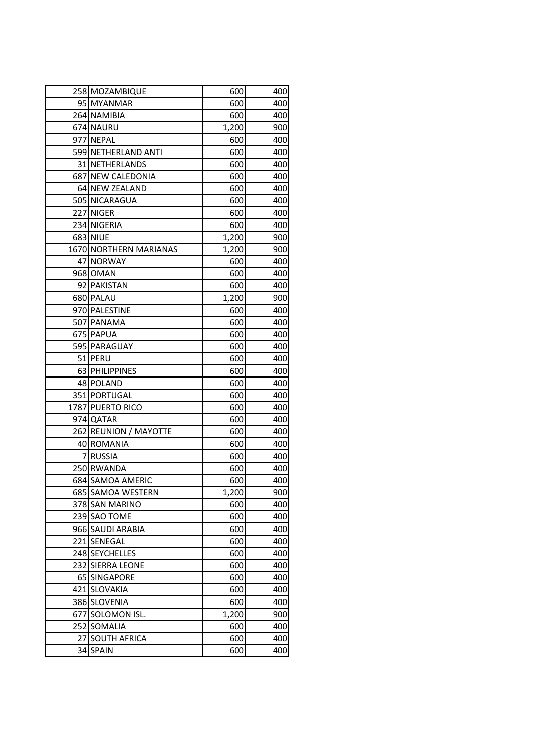|    | 258 MOZAMBIQUE         | 600   | 400 |
|----|------------------------|-------|-----|
|    | 95 MYANMAR             | 600   | 400 |
|    | 264 NAMIBIA            | 600   | 400 |
|    | 674 NAURU              | 1,200 | 900 |
|    | 977 NEPAL              | 600   | 400 |
|    | 599 NETHERLAND ANTI    | 600   | 400 |
|    | 31 NETHERLANDS         | 600   | 400 |
|    | 687 NEW CALEDONIA      | 600   | 400 |
|    | 64 NEW ZEALAND         | 600   | 400 |
|    | 505 NICARAGUA          | 600   | 400 |
|    | 227 NIGER              | 600   | 400 |
|    | 234 NIGERIA            | 600   | 400 |
|    | 683 NIUE               | 1,200 | 900 |
|    | 1670 NORTHERN MARIANAS | 1,200 | 900 |
|    | 47 NORWAY              | 600   | 400 |
|    | 968 OMAN               | 600   | 400 |
|    | 92 PAKISTAN            | 600   | 400 |
|    | 680 PALAU              | 1,200 | 900 |
|    | 970 PALESTINE          | 600   | 400 |
|    | 507 PANAMA             | 600   | 400 |
|    | 675 PAPUA              | 600   | 400 |
|    | 595 PARAGUAY           | 600   | 400 |
|    | 51 PERU                | 600   | 400 |
|    | 63 PHILIPPINES         | 600   | 400 |
|    | 48 POLAND              | 600   | 400 |
|    | 351 PORTUGAL           | 600   | 400 |
|    | 1787 PUERTO RICO       | 600   | 400 |
|    | 974 QATAR              | 600   | 400 |
|    | 262 REUNION / MAYOTTE  | 600   | 400 |
|    | 40 ROMANIA             | 600   | 400 |
|    | 7 RUSSIA               | 600   | 400 |
|    | 250 RWANDA             | 600   | 400 |
|    | 684 SAMOA AMERIC       | 600   | 400 |
|    | 685 SAMOA WESTERN      | 1,200 | 900 |
|    | 378 SAN MARINO         | 600   | 400 |
|    | 239 SAO TOME           | 600   | 400 |
|    | 966 SAUDI ARABIA       | 600   | 400 |
|    | 221 SENEGAL            | 600   | 400 |
|    | 248 SEYCHELLES         | 600   | 400 |
|    | 232 SIERRA LEONE       | 600   | 400 |
|    | 65 SINGAPORE           | 600   | 400 |
|    | 421 SLOVAKIA           | 600   | 400 |
|    | 386 SLOVENIA           | 600   | 400 |
|    | 677 SOLOMON ISL.       | 1,200 | 900 |
|    | 252 SOMALIA            | 600   | 400 |
| 27 | <b>SOUTH AFRICA</b>    | 600   | 400 |
|    | 34 SPAIN               | 600   | 400 |